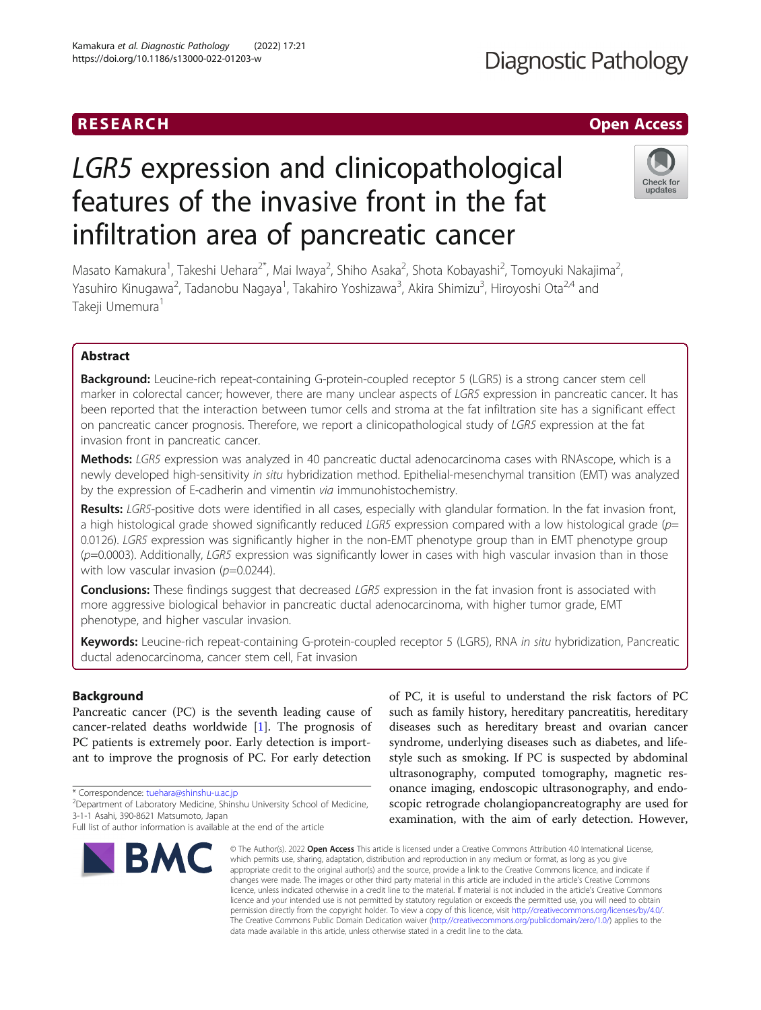## RESEARCH **RESEARCH CHANNEL CONTROL**

# LGR5 expression and clinicopathological features of the invasive front in the fat infiltration area of pancreatic cancer

Masato Kamakura<sup>1</sup>, Takeshi Uehara<sup>2\*</sup>, Mai Iwaya<sup>2</sup>, Shiho Asaka<sup>2</sup>, Shota Kobayashi<sup>2</sup>, Tomoyuki Nakajima<sup>2</sup> , Yasuhiro Kinugawa<sup>2</sup>, Tadanobu Nagaya<sup>1</sup>, Takahiro Yoshizawa<sup>3</sup>, Akira Shimizu<sup>3</sup>, Hiroyoshi Ota<sup>2,4</sup> and Takeji Umemura<sup>1</sup>

## Abstract

**Background:** Leucine-rich repeat-containing G-protein-coupled receptor 5 (LGR5) is a strong cancer stem cell marker in colorectal cancer; however, there are many unclear aspects of LGR5 expression in pancreatic cancer. It has been reported that the interaction between tumor cells and stroma at the fat infiltration site has a significant effect on pancreatic cancer prognosis. Therefore, we report a clinicopathological study of LGR5 expression at the fat invasion front in pancreatic cancer.

Methods: LGR5 expression was analyzed in 40 pancreatic ductal adenocarcinoma cases with RNAscope, which is a newly developed high-sensitivity in situ hybridization method. Epithelial-mesenchymal transition (EMT) was analyzed by the expression of E-cadherin and vimentin via immunohistochemistry.

Results: LGR5-positive dots were identified in all cases, especially with glandular formation. In the fat invasion front, a high histological grade showed significantly reduced LGR5 expression compared with a low histological grade ( $p=$ 0.0126). LGR5 expression was significantly higher in the non-EMT phenotype group than in EMT phenotype group  $(p=0.0003)$ . Additionally, LGR5 expression was significantly lower in cases with high vascular invasion than in those with low vascular invasion  $(p=0.0244)$ .

**Conclusions:** These findings suggest that decreased LGR5 expression in the fat invasion front is associated with more aggressive biological behavior in pancreatic ductal adenocarcinoma, with higher tumor grade, EMT phenotype, and higher vascular invasion.

Keywords: Leucine-rich repeat-containing G-protein-coupled receptor 5 (LGR5), RNA in situ hybridization, Pancreatic ductal adenocarcinoma, cancer stem cell, Fat invasion

## Background

Pancreatic cancer (PC) is the seventh leading cause of cancer-related deaths worldwide [[1\]](#page-6-0). The prognosis of PC patients is extremely poor. Early detection is important to improve the prognosis of PC. For early detection

\* Correspondence: [tuehara@shinshu-u.ac.jp](mailto:tuehara@shinshu-u.ac.jp) <sup>2</sup>

**BMC** 

diseases such as hereditary breast and ovarian cancer examination, with the aim of early detection. However,

© The Author(s), 2022 **Open Access** This article is licensed under a Creative Commons Attribution 4.0 International License, which permits use, sharing, adaptation, distribution and reproduction in any medium or format, as long as you give appropriate credit to the original author(s) and the source, provide a link to the Creative Commons licence, and indicate if changes were made. The images or other third party material in this article are included in the article's Creative Commons licence, unless indicated otherwise in a credit line to the material. If material is not included in the article's Creative Commons licence and your intended use is not permitted by statutory regulation or exceeds the permitted use, you will need to obtain permission directly from the copyright holder. To view a copy of this licence, visit [http://creativecommons.org/licenses/by/4.0/.](http://creativecommons.org/licenses/by/4.0/) The Creative Commons Public Domain Dedication waiver [\(http://creativecommons.org/publicdomain/zero/1.0/](http://creativecommons.org/publicdomain/zero/1.0/)) applies to the data made available in this article, unless otherwise stated in a credit line to the data.

syndrome, underlying diseases such as diabetes, and lifestyle such as smoking. If PC is suspected by abdominal ultrasonography, computed tomography, magnetic resonance imaging, endoscopic ultrasonography, and endoscopic retrograde cholangiopancreatography are used for

of PC, it is useful to understand the risk factors of PC such as family history, hereditary pancreatitis, hereditary

## **Diagnostic Pathology**







<sup>&</sup>lt;sup>2</sup>Department of Laboratory Medicine, Shinshu University School of Medicine, 3-1-1 Asahi, 390-8621 Matsumoto, Japan

Full list of author information is available at the end of the article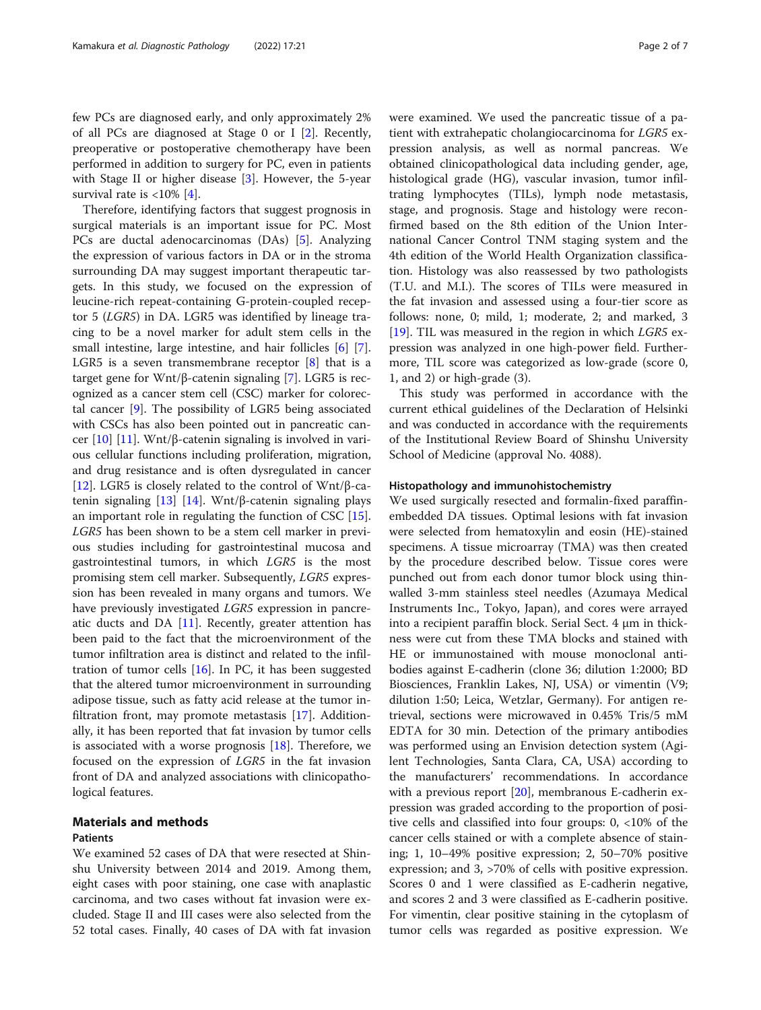Therefore, identifying factors that suggest prognosis in surgical materials is an important issue for PC. Most PCs are ductal adenocarcinomas (DAs) [\[5](#page-6-0)]. Analyzing the expression of various factors in DA or in the stroma surrounding DA may suggest important therapeutic targets. In this study, we focused on the expression of leucine-rich repeat-containing G-protein-coupled receptor 5 (LGR5) in DA. LGR5 was identified by lineage tracing to be a novel marker for adult stem cells in the small intestine, large intestine, and hair follicles [\[6\]](#page-6-0) [\[7](#page-6-0)]. LGR5 is a seven transmembrane receptor  $[8]$  $[8]$  that is a target gene for Wnt/β-catenin signaling [\[7](#page-6-0)]. LGR5 is recognized as a cancer stem cell (CSC) marker for colorectal cancer [[9](#page-6-0)]. The possibility of LGR5 being associated with CSCs has also been pointed out in pancreatic cancer [\[10](#page-6-0)] [\[11](#page-6-0)]. Wnt/β-catenin signaling is involved in various cellular functions including proliferation, migration, and drug resistance and is often dysregulated in cancer [[12\]](#page-6-0). LGR5 is closely related to the control of Wnt/ $\beta$ -ca-tenin signaling [\[13](#page-6-0)] [[14\]](#page-6-0). Wnt/β-catenin signaling plays an important role in regulating the function of CSC [\[15](#page-6-0)]. LGR5 has been shown to be a stem cell marker in previous studies including for gastrointestinal mucosa and gastrointestinal tumors, in which LGR5 is the most promising stem cell marker. Subsequently, LGR5 expression has been revealed in many organs and tumors. We have previously investigated *LGR5* expression in pancreatic ducts and DA  $[11]$  $[11]$  $[11]$ . Recently, greater attention has been paid to the fact that the microenvironment of the tumor infiltration area is distinct and related to the infiltration of tumor cells  $[16]$  $[16]$ . In PC, it has been suggested that the altered tumor microenvironment in surrounding adipose tissue, such as fatty acid release at the tumor infiltration front, may promote metastasis [[17](#page-6-0)]. Additionally, it has been reported that fat invasion by tumor cells is associated with a worse prognosis [\[18](#page-6-0)]. Therefore, we focused on the expression of LGR5 in the fat invasion front of DA and analyzed associations with clinicopathological features.

## Materials and methods

#### Patients

We examined 52 cases of DA that were resected at Shinshu University between 2014 and 2019. Among them, eight cases with poor staining, one case with anaplastic carcinoma, and two cases without fat invasion were excluded. Stage II and III cases were also selected from the 52 total cases. Finally, 40 cases of DA with fat invasion were examined. We used the pancreatic tissue of a patient with extrahepatic cholangiocarcinoma for LGR5 expression analysis, as well as normal pancreas. We obtained clinicopathological data including gender, age, histological grade (HG), vascular invasion, tumor infiltrating lymphocytes (TILs), lymph node metastasis, stage, and prognosis. Stage and histology were reconfirmed based on the 8th edition of the Union International Cancer Control TNM staging system and the 4th edition of the World Health Organization classification. Histology was also reassessed by two pathologists (T.U. and M.I.). The scores of TILs were measured in the fat invasion and assessed using a four-tier score as follows: none, 0; mild, 1; moderate, 2; and marked, 3 [[19\]](#page-6-0). TIL was measured in the region in which  $LGR5$  expression was analyzed in one high-power field. Furthermore, TIL score was categorized as low-grade (score 0, 1, and 2) or high-grade (3).

This study was performed in accordance with the current ethical guidelines of the Declaration of Helsinki and was conducted in accordance with the requirements of the Institutional Review Board of Shinshu University School of Medicine (approval No. 4088).

#### Histopathology and immunohistochemistry

We used surgically resected and formalin-fixed paraffinembedded DA tissues. Optimal lesions with fat invasion were selected from hematoxylin and eosin (HE)-stained specimens. A tissue microarray (TMA) was then created by the procedure described below. Tissue cores were punched out from each donor tumor block using thinwalled 3-mm stainless steel needles (Azumaya Medical Instruments Inc., Tokyo, Japan), and cores were arrayed into a recipient paraffin block. Serial Sect. 4 μm in thickness were cut from these TMA blocks and stained with HE or immunostained with mouse monoclonal antibodies against E-cadherin (clone 36; dilution 1:2000; BD Biosciences, Franklin Lakes, NJ, USA) or vimentin (V9; dilution 1:50; Leica, Wetzlar, Germany). For antigen retrieval, sections were microwaved in 0.45% Tris/5 mM EDTA for 30 min. Detection of the primary antibodies was performed using an Envision detection system (Agilent Technologies, Santa Clara, CA, USA) according to the manufacturers' recommendations. In accordance with a previous report [[20\]](#page-6-0), membranous E-cadherin expression was graded according to the proportion of positive cells and classified into four groups: 0, <10% of the cancer cells stained or with a complete absence of staining; 1, 10–49% positive expression; 2, 50–70% positive expression; and 3, >70% of cells with positive expression. Scores 0 and 1 were classified as E-cadherin negative, and scores 2 and 3 were classified as E-cadherin positive. For vimentin, clear positive staining in the cytoplasm of tumor cells was regarded as positive expression. We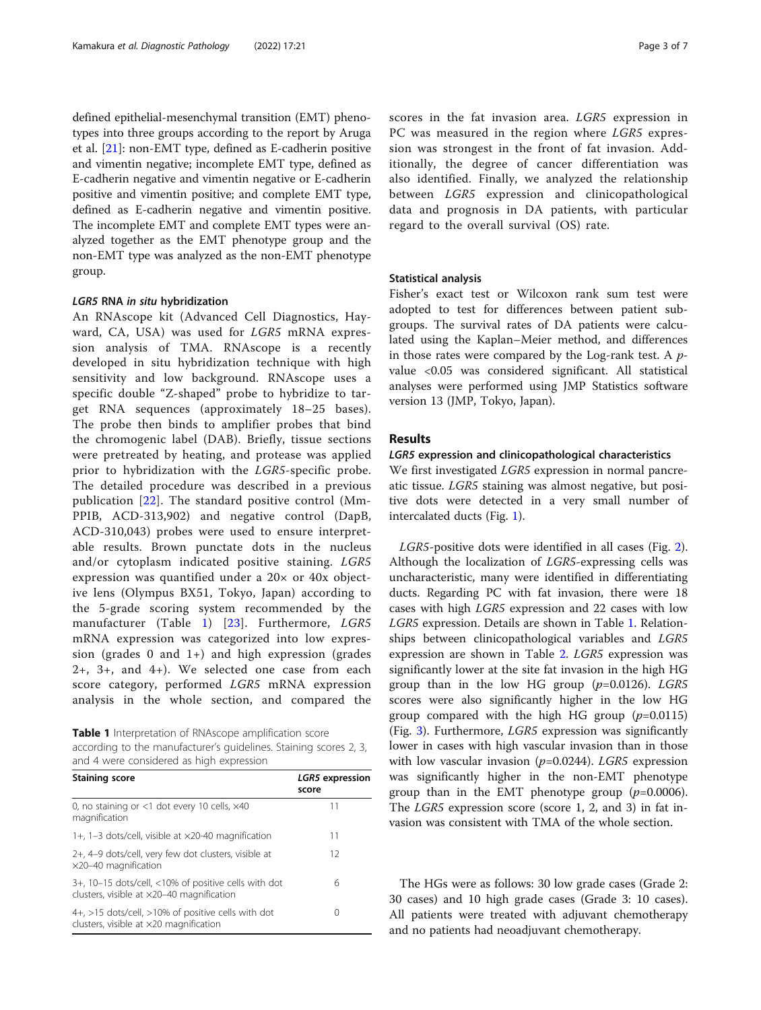defined epithelial-mesenchymal transition (EMT) phenotypes into three groups according to the report by Aruga et al. [[21\]](#page-6-0): non-EMT type, defined as E-cadherin positive and vimentin negative; incomplete EMT type, defined as E-cadherin negative and vimentin negative or E-cadherin positive and vimentin positive; and complete EMT type, defined as E-cadherin negative and vimentin positive. The incomplete EMT and complete EMT types were analyzed together as the EMT phenotype group and the non-EMT type was analyzed as the non-EMT phenotype group.

#### LGR5 RNA in situ hybridization

An RNAscope kit (Advanced Cell Diagnostics, Hayward, CA, USA) was used for LGR5 mRNA expression analysis of TMA. RNAscope is a recently developed in situ hybridization technique with high sensitivity and low background. RNAscope uses a specific double "Z-shaped" probe to hybridize to target RNA sequences (approximately 18–25 bases). The probe then binds to amplifier probes that bind the chromogenic label (DAB). Briefly, tissue sections were pretreated by heating, and protease was applied prior to hybridization with the LGR5-specific probe. The detailed procedure was described in a previous publication [[22](#page-6-0)]. The standard positive control (Mm-PPIB, ACD-313,902) and negative control (DapB, ACD-310,043) probes were used to ensure interpretable results. Brown punctate dots in the nucleus and/or cytoplasm indicated positive staining. LGR5 expression was quantified under a 20× or 40x objective lens (Olympus BX51, Tokyo, Japan) according to the 5-grade scoring system recommended by the manufacturer (Table 1) [[23](#page-6-0)]. Furthermore, LGR5 mRNA expression was categorized into low expression (grades 0 and 1+) and high expression (grades 2+, 3+, and 4+). We selected one case from each score category, performed LGR5 mRNA expression analysis in the whole section, and compared the

Table 1 Interpretation of RNAscope amplification score according to the manufacturer's guidelines. Staining scores 2, 3, and 4 were considered as high expression

| <b>Staining score</b>                                                                                        | LGR5 expression<br>score |  |
|--------------------------------------------------------------------------------------------------------------|--------------------------|--|
| 0, no staining or $<$ 1 dot every 10 cells, $\times$ 40<br>magnification                                     | 11                       |  |
| 1+, 1-3 dots/cell, visible at $\times$ 20-40 magnification                                                   | 11                       |  |
| 2+, 4–9 dots/cell, very few dot clusters, visible at<br>$\times$ 20-40 magnification                         | 12                       |  |
| 3+, 10-15 dots/cell, <10% of positive cells with dot<br>clusters, visible at $\times$ 20–40 magnification    | 6                        |  |
| $4+$ , $>15$ dots/cell, $>10\%$ of positive cells with dot<br>clusters, visible at $\times$ 20 magnification | $\left( \right)$         |  |

scores in the fat invasion area. LGR5 expression in PC was measured in the region where LGR5 expression was strongest in the front of fat invasion. Additionally, the degree of cancer differentiation was also identified. Finally, we analyzed the relationship between LGR5 expression and clinicopathological data and prognosis in DA patients, with particular regard to the overall survival (OS) rate.

#### Statistical analysis

Fisher's exact test or Wilcoxon rank sum test were adopted to test for differences between patient subgroups. The survival rates of DA patients were calculated using the Kaplan–Meier method, and differences in those rates were compared by the Log-rank test. A  $p$ value <0.05 was considered significant. All statistical analyses were performed using JMP Statistics software version 13 (JMP, Tokyo, Japan).

### Results

#### LGR5 expression and clinicopathological characteristics

We first investigated *LGR5* expression in normal pancreatic tissue. LGR5 staining was almost negative, but positive dots were detected in a very small number of intercalated ducts (Fig. [1\)](#page-3-0).

LGR5-positive dots were identified in all cases (Fig. [2](#page-3-0)). Although the localization of LGR5-expressing cells was uncharacteristic, many were identified in differentiating ducts. Regarding PC with fat invasion, there were 18 cases with high LGR5 expression and 22 cases with low LGR5 expression. Details are shown in Table 1. Relationships between clinicopathological variables and LGR5 expression are shown in Table [2.](#page-4-0) LGR5 expression was significantly lower at the site fat invasion in the high HG group than in the low HG group  $(p=0.0126)$ . LGR5 scores were also significantly higher in the low HG group compared with the high HG group  $(p=0.0115)$ (Fig. [3\)](#page-4-0). Furthermore, LGR5 expression was significantly lower in cases with high vascular invasion than in those with low vascular invasion ( $p=0.0244$ ). LGR5 expression was significantly higher in the non-EMT phenotype group than in the EMT phenotype group  $(p=0.0006)$ . The *LGR5* expression score (score 1, 2, and 3) in fat invasion was consistent with TMA of the whole section.

The HGs were as follows: 30 low grade cases (Grade 2: 30 cases) and 10 high grade cases (Grade 3: 10 cases). All patients were treated with adjuvant chemotherapy and no patients had neoadjuvant chemotherapy.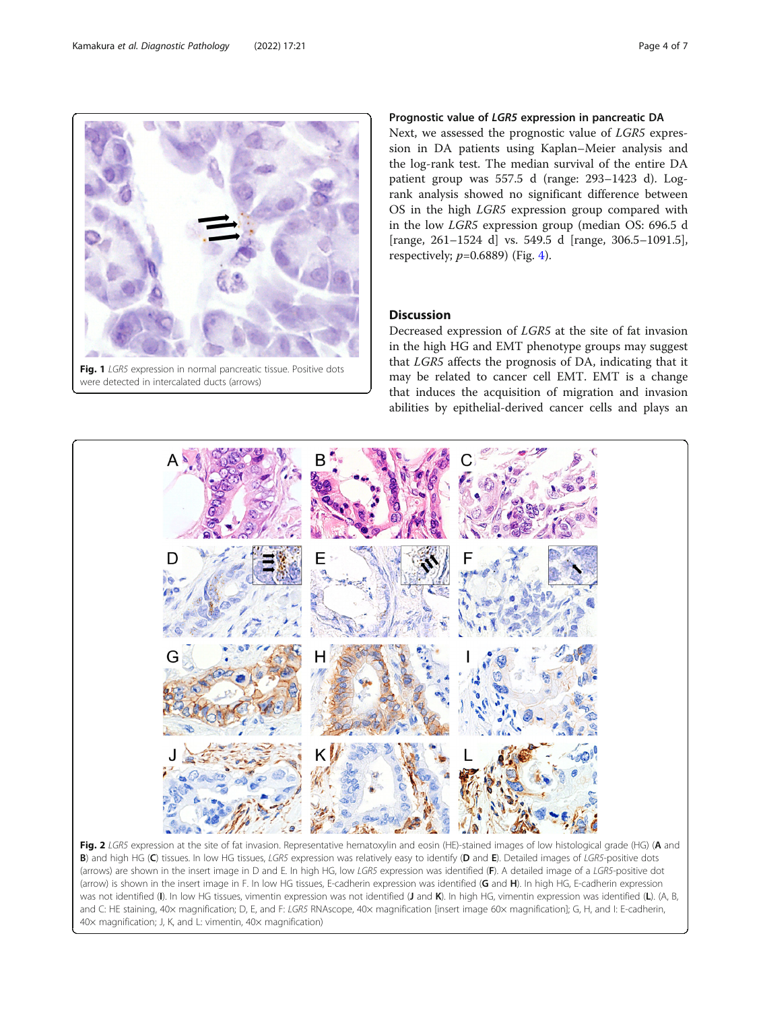<span id="page-3-0"></span>Kamakura et al. Diagnostic Pathology (2022) 17:21 Page 4 of 7



Fig. 1 LGR5 expression in normal pancreatic tissue. Positive dots were detected in intercalated ducts (arrows)

## Prognostic value of LGR5 expression in pancreatic DA

Next, we assessed the prognostic value of LGR5 expression in DA patients using Kaplan–Meier analysis and the log-rank test. The median survival of the entire DA patient group was 557.5 d (range: 293–1423 d). Logrank analysis showed no significant difference between OS in the high LGR5 expression group compared with in the low LGR5 expression group (median OS: 696.5 d [range, 261–1524 d] vs. 549.5 d [range, 306.5–1091.5], respectively;  $p=0.6889$ ) (Fig. [4](#page-4-0)).

## Discussion

Decreased expression of LGR5 at the site of fat invasion in the high HG and EMT phenotype groups may suggest that LGR5 affects the prognosis of DA, indicating that it may be related to cancer cell EMT. EMT is a change that induces the acquisition of migration and invasion abilities by epithelial-derived cancer cells and plays an



Fig. 2 LGR5 expression at the site of fat invasion. Representative hematoxylin and eosin (HE)-stained images of low histological grade (HG) (A and B) and high HG (C) tissues. In low HG tissues, LGR5 expression was relatively easy to identify (D and E). Detailed images of LGR5-positive dots (arrows) are shown in the insert image in D and E. In high HG, low LGR5 expression was identified (F). A detailed image of a LGR5-positive dot (arrow) is shown in the insert image in F. In low HG tissues, E-cadherin expression was identified (G and H). In high HG, E-cadherin expression was not identified (I). In low HG tissues, vimentin expression was not identified (J and K). In high HG, vimentin expression was identified (L). (A, B, and C: HE staining, 40x magnification; D, E, and F: LGR5 RNAscope, 40x magnification [insert image 60x magnification]; G, H, and I: E-cadherin, 40× magnification; J, K, and L: vimentin, 40× magnification)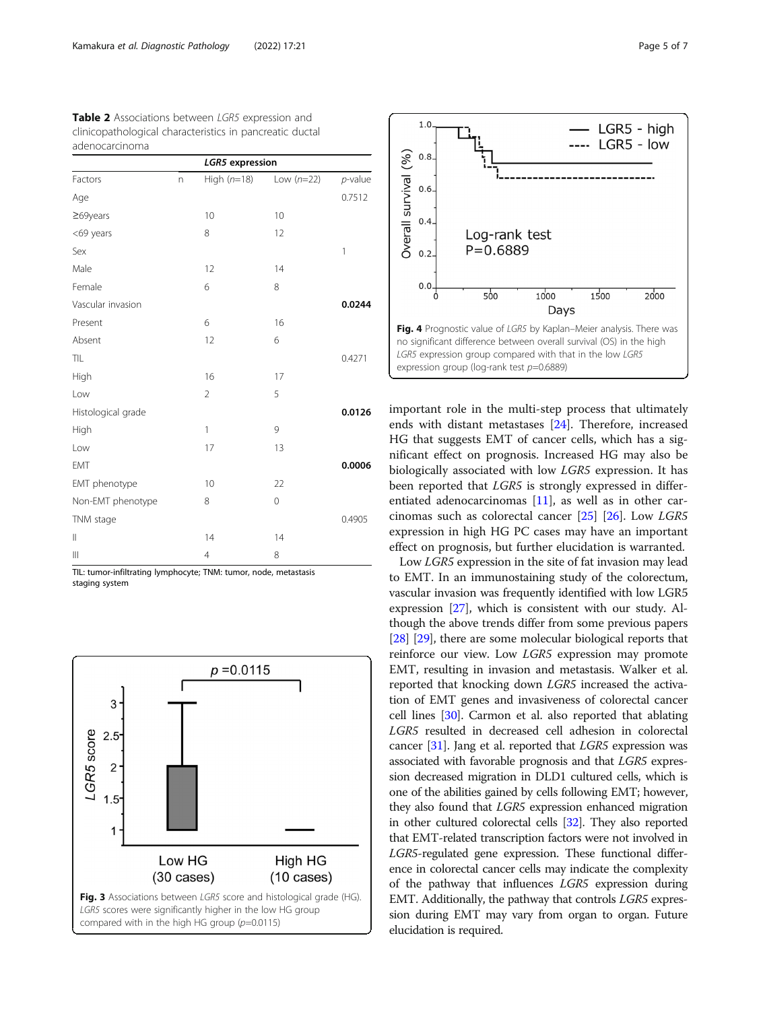| Factors                               |    | LGR5 expression |              |            |
|---------------------------------------|----|-----------------|--------------|------------|
|                                       | n. | High $(n=18)$   | Low $(n=22)$ | $p$ -value |
| Age                                   |    |                 |              | 0.7512     |
| $\geq$ 69years                        |    | 10              | 10           |            |
| <69 years                             |    | 8               | 12           |            |
| Sex                                   |    |                 |              | 1          |
| Male                                  |    | 12              | 14           |            |
| Female                                |    | 6               | 8            |            |
| Vascular invasion                     |    |                 |              | 0.0244     |
| Present                               |    | 6               | 16           |            |
| Absent                                |    | 12              | 6            |            |
| <b>TIL</b>                            |    |                 |              | 0.4271     |
| High                                  |    | 16              | 17           |            |
| Low                                   |    | $\overline{2}$  | 5            |            |
| Histological grade                    |    |                 |              | 0.0126     |
| High                                  |    | 1               | 9            |            |
| Low                                   |    | 17              | 13           |            |
| <b>EMT</b>                            |    |                 |              | 0.0006     |
| EMT phenotype                         |    | 10              | 22           |            |
| Non-EMT phenotype                     |    | 8               | 0            |            |
| TNM stage                             |    |                 |              | 0.4905     |
| $\begin{array}{c} \hline \end{array}$ |    | 14              | 14           |            |
| $\begin{array}{c} \hline \end{array}$ |    | $\overline{4}$  | 8            |            |

<span id="page-4-0"></span>Table 2 Associations between LGR5 expression and clinicopathological characteristics in pancreatic ductal adenocarcinoma

TIL: tumor-infiltrating lymphocyte; TNM: tumor, node, metastasis staging system





important role in the multi-step process that ultimately ends with distant metastases [[24\]](#page-6-0). Therefore, increased HG that suggests EMT of cancer cells, which has a significant effect on prognosis. Increased HG may also be biologically associated with low LGR5 expression. It has been reported that *LGR5* is strongly expressed in differentiated adenocarcinomas [[11\]](#page-6-0), as well as in other carcinomas such as colorectal cancer [[25\]](#page-6-0) [[26\]](#page-6-0). Low LGR5 expression in high HG PC cases may have an important effect on prognosis, but further elucidation is warranted.

Low LGR5 expression in the site of fat invasion may lead to EMT. In an immunostaining study of the colorectum, vascular invasion was frequently identified with low LGR5 expression [[27](#page-6-0)], which is consistent with our study. Although the above trends differ from some previous papers [[28](#page-6-0)] [[29](#page-6-0)], there are some molecular biological reports that reinforce our view. Low LGR5 expression may promote EMT, resulting in invasion and metastasis. Walker et al. reported that knocking down LGR5 increased the activation of EMT genes and invasiveness of colorectal cancer cell lines [\[30\]](#page-6-0). Carmon et al. also reported that ablating LGR5 resulted in decreased cell adhesion in colorectal cancer [\[31\]](#page-6-0). Jang et al. reported that LGR5 expression was associated with favorable prognosis and that LGR5 expression decreased migration in DLD1 cultured cells, which is one of the abilities gained by cells following EMT; however, they also found that LGR5 expression enhanced migration in other cultured colorectal cells [[32\]](#page-6-0). They also reported that EMT-related transcription factors were not involved in LGR5-regulated gene expression. These functional difference in colorectal cancer cells may indicate the complexity of the pathway that influences LGR5 expression during EMT. Additionally, the pathway that controls LGR5 expression during EMT may vary from organ to organ. Future elucidation is required.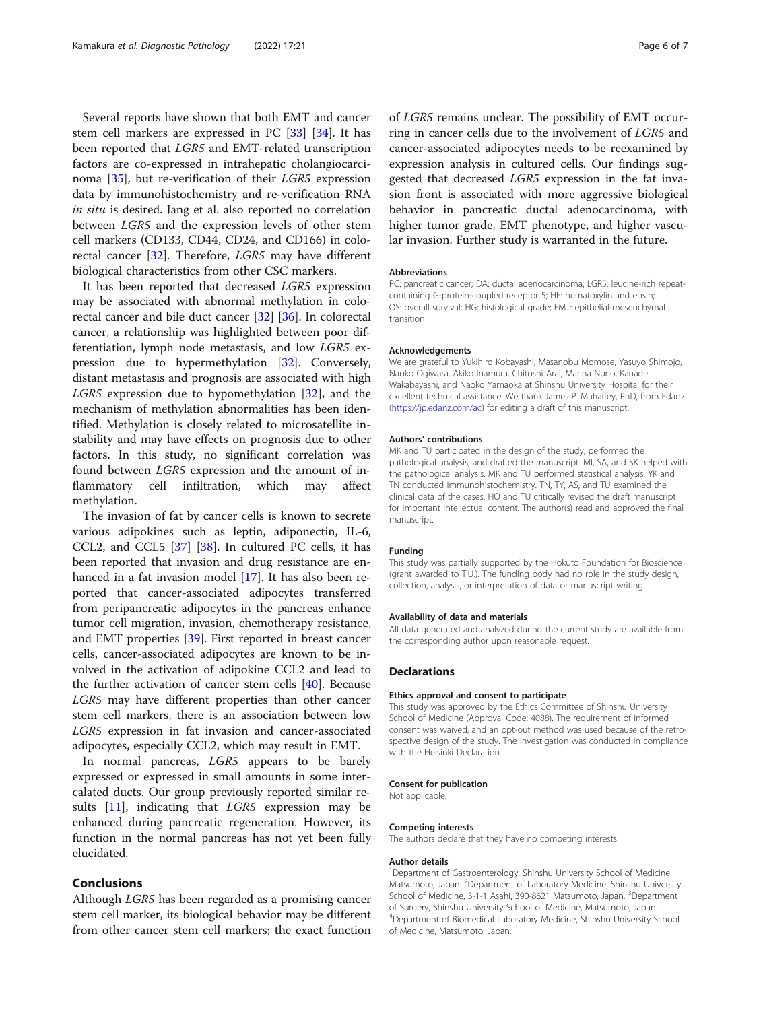Several reports have shown that both EMT and cancer stem cell markers are expressed in PC [\[33\]](#page-6-0) [\[34](#page-6-0)]. It has been reported that LGR5 and EMT-related transcription factors are co-expressed in intrahepatic cholangiocarcinoma [\[35\]](#page-6-0), but re-verification of their LGR5 expression data by immunohistochemistry and re-verification RNA in situ is desired. Jang et al. also reported no correlation between LGR5 and the expression levels of other stem cell markers (CD133, CD44, CD24, and CD166) in colorectal cancer [[32\]](#page-6-0). Therefore, LGR5 may have different biological characteristics from other CSC markers.

It has been reported that decreased LGR5 expression may be associated with abnormal methylation in colorectal cancer and bile duct cancer [[32\]](#page-6-0) [[36\]](#page-6-0). In colorectal cancer, a relationship was highlighted between poor differentiation, lymph node metastasis, and low LGR5 expression due to hypermethylation [\[32](#page-6-0)]. Conversely, distant metastasis and prognosis are associated with high LGR5 expression due to hypomethylation [\[32\]](#page-6-0), and the mechanism of methylation abnormalities has been identified. Methylation is closely related to microsatellite instability and may have effects on prognosis due to other factors. In this study, no significant correlation was found between LGR5 expression and the amount of inflammatory cell infiltration, which may affect methylation.

The invasion of fat by cancer cells is known to secrete various adipokines such as leptin, adiponectin, IL-6, CCL2, and CCL5 [[37\]](#page-6-0) [[38\]](#page-6-0). In cultured PC cells, it has been reported that invasion and drug resistance are enhanced in a fat invasion model [[17](#page-6-0)]. It has also been reported that cancer-associated adipocytes transferred from peripancreatic adipocytes in the pancreas enhance tumor cell migration, invasion, chemotherapy resistance, and EMT properties [[39\]](#page-6-0). First reported in breast cancer cells, cancer-associated adipocytes are known to be involved in the activation of adipokine CCL2 and lead to the further activation of cancer stem cells [\[40\]](#page-6-0). Because LGR5 may have different properties than other cancer stem cell markers, there is an association between low LGR5 expression in fat invasion and cancer-associated adipocytes, especially CCL2, which may result in EMT.

In normal pancreas, LGR5 appears to be barely expressed or expressed in small amounts in some intercalated ducts. Our group previously reported similar results  $[11]$  $[11]$ , indicating that *LGR5* expression may be enhanced during pancreatic regeneration. However, its function in the normal pancreas has not yet been fully elucidated.

#### Conclusions

Although LGR5 has been regarded as a promising cancer stem cell marker, its biological behavior may be different from other cancer stem cell markers; the exact function

of LGR5 remains unclear. The possibility of EMT occurring in cancer cells due to the involvement of LGR5 and cancer-associated adipocytes needs to be reexamined by expression analysis in cultured cells. Our findings suggested that decreased LGR5 expression in the fat invasion front is associated with more aggressive biological behavior in pancreatic ductal adenocarcinoma, with higher tumor grade, EMT phenotype, and higher vascular invasion. Further study is warranted in the future.

#### Abbreviations

PC: pancreatic cancer; DA: ductal adenocarcinoma; LGR5: leucine-rich repeatcontaining G-protein-coupled receptor 5; HE: hematoxylin and eosin; OS: overall survival; HG: histological grade; EMT: epithelial-mesenchymal transition

#### Acknowledgements

We are grateful to Yukihiro Kobayashi, Masanobu Momose, Yasuyo Shimojo, Naoko Ogiwara, Akiko Inamura, Chitoshi Arai, Marina Nuno, Kanade Wakabayashi, and Naoko Yamaoka at Shinshu University Hospital for their excellent technical assistance. We thank James P. Mahaffey, PhD, from Edanz (<https://jp.edanz.com/ac>) for editing a draft of this manuscript.

#### Authors' contributions

MK and TU participated in the design of the study, performed the pathological analysis, and drafted the manuscript. MI, SA, and SK helped with the pathological analysis. MK and TU performed statistical analysis. YK and TN conducted immunohistochemistry. TN, TY, AS, and TU examined the clinical data of the cases. HO and TU critically revised the draft manuscript for important intellectual content. The author(s) read and approved the final manuscript.

#### Funding

This study was partially supported by the Hokuto Foundation for Bioscience (grant awarded to T.U.). The funding body had no role in the study design, collection, analysis, or interpretation of data or manuscript writing.

#### Availability of data and materials

All data generated and analyzed during the current study are available from the corresponding author upon reasonable request.

#### **Declarations**

#### Ethics approval and consent to participate

This study was approved by the Ethics Committee of Shinshu University School of Medicine (Approval Code: 4088). The requirement of informed consent was waived, and an opt-out method was used because of the retrospective design of the study. The investigation was conducted in compliance with the Helsinki Declaration.

#### Consent for publication

Not applicable.

#### Competing interests

The authors declare that they have no competing interests.

#### Author details

<sup>1</sup>Department of Gastroenterology, Shinshu University School of Medicine, Matsumoto, Japan. <sup>2</sup>Department of Laboratory Medicine, Shinshu University School of Medicine, 3-1-1 Asahi, 390-8621 Matsumoto, Japan. <sup>3</sup>Department of Surgery, Shinshu University School of Medicine, Matsumoto, Japan. 4 Department of Biomedical Laboratory Medicine, Shinshu University School of Medicine, Matsumoto, Japan.